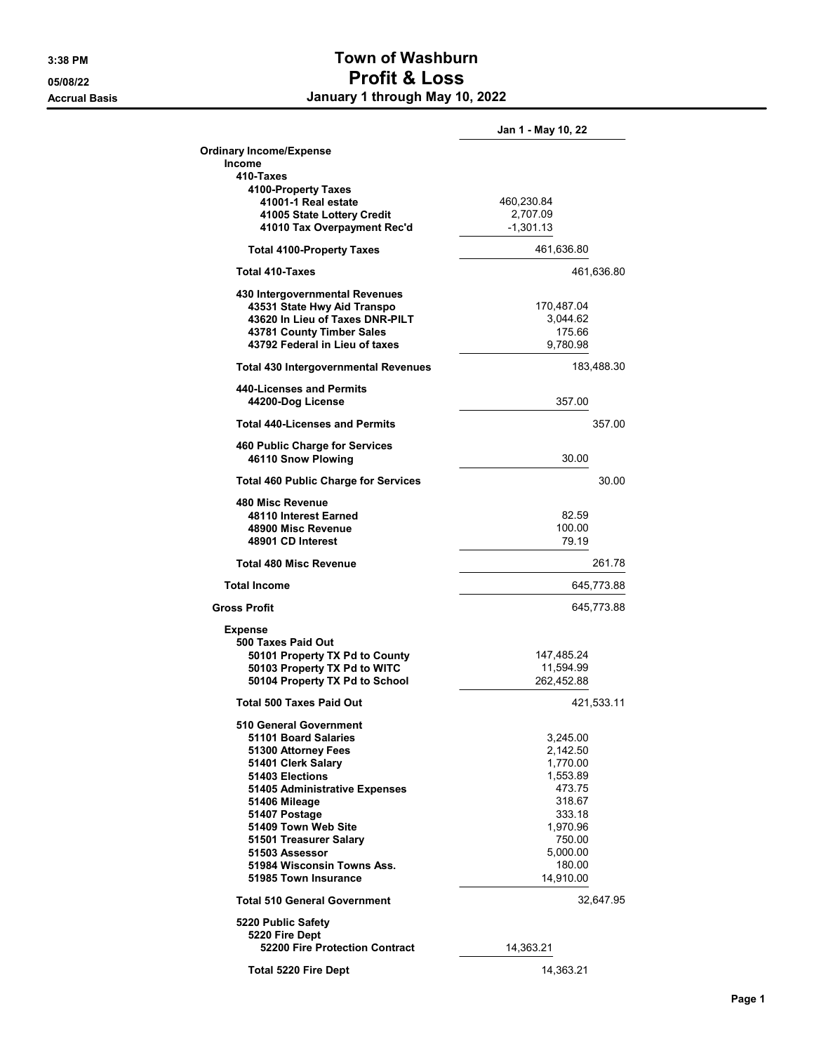## 3:38 PM Town of Washburn 05/08/22 Profit & Loss Accrual Basis **Accrual Basis January 1 through May 10, 2022**

|                                                    | Jan 1 - May 10, 22     |        |
|----------------------------------------------------|------------------------|--------|
| <b>Ordinary Income/Expense</b>                     |                        |        |
| Income                                             |                        |        |
| 410-Taxes                                          |                        |        |
| 4100-Property Taxes                                |                        |        |
| 41001-1 Real estate                                | 460,230.84             |        |
| 41005 State Lottery Credit                         | 2,707.09               |        |
| 41010 Tax Overpayment Rec'd                        | $-1,301.13$            |        |
| <b>Total 4100-Property Taxes</b>                   | 461,636.80             |        |
| <b>Total 410-Taxes</b>                             | 461,636.80             |        |
| 430 Intergovernmental Revenues                     |                        |        |
| 43531 State Hwy Aid Transpo                        | 170,487.04             |        |
| 43620 In Lieu of Taxes DNR-PILT                    | 3,044.62               |        |
| 43781 County Timber Sales                          | 175.66                 |        |
| 43792 Federal in Lieu of taxes                     | 9,780.98               |        |
| <b>Total 430 Intergovernmental Revenues</b>        | 183,488.30             |        |
| 440-Licenses and Permits                           |                        |        |
| 44200-Dog License                                  | 357.00                 |        |
| <b>Total 440-Licenses and Permits</b>              |                        | 357.00 |
| 460 Public Charge for Services                     |                        |        |
| 46110 Snow Plowing                                 | 30.00                  |        |
| <b>Total 460 Public Charge for Services</b>        |                        | 30.00  |
| 480 Misc Revenue                                   |                        |        |
| 48110 Interest Earned                              | 82.59                  |        |
| 48900 Misc Revenue                                 | 100.00                 |        |
| 48901 CD Interest                                  | 79.19                  |        |
|                                                    |                        |        |
| <b>Total 480 Misc Revenue</b>                      |                        | 261.78 |
| <b>Total Income</b>                                | 645,773.88             |        |
| <b>Gross Profit</b>                                | 645,773.88             |        |
| <b>Expense</b>                                     |                        |        |
| 500 Taxes Paid Out                                 |                        |        |
| 50101 Property TX Pd to County                     | 147.485.24             |        |
| 50103 Property TX Pd to WITC                       | 11,594.99              |        |
| 50104 Property TX Pd to School                     | 262,452.88             |        |
| <b>Total 500 Taxes Paid Out</b>                    | 421,533.11             |        |
| 510 General Government                             |                        |        |
| 51101 Board Salaries                               | 3,245.00               |        |
| 51300 Attorney Fees                                | 2,142.50               |        |
| 51401 Clerk Salary                                 | 1,770.00               |        |
| 51403 Elections                                    | 1,553.89               |        |
| 51405 Administrative Expenses                      | 473.75                 |        |
| 51406 Mileage                                      | 318.67                 |        |
| 51407 Postage                                      | 333.18                 |        |
| 51409 Town Web Site                                | 1,970.96               |        |
| 51501 Treasurer Salary                             | 750.00                 |        |
| 51503 Assessor                                     | 5,000.00               |        |
| 51984 Wisconsin Towns Ass.<br>51985 Town Insurance | 180.00<br>14,910.00    |        |
| <b>Total 510 General Government</b>                | 32,647.95              |        |
|                                                    |                        |        |
| 5220 Public Safety                                 |                        |        |
| 5220 Fire Dept                                     |                        |        |
| 52200 Fire Protection Contract                     | 14,363.21<br>14,363.21 |        |